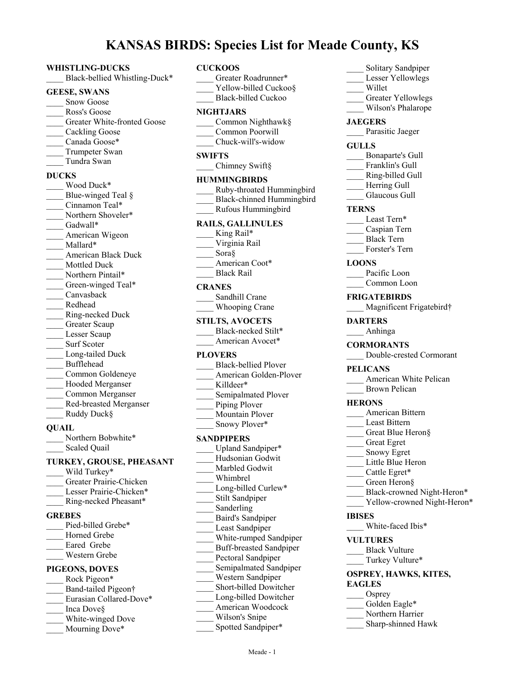# **KANSAS BIRDS: Species List for Meade County, KS**

#### **WHISTLING-DUCKS**

Black-bellied Whistling-Duck\*

#### **GEESE, SWANS**

- Snow Goose
- \_\_\_\_ Ross's Goose
- Greater White-fronted Goose
- Cackling Goose
- Canada Goose\*
- Trumpeter Swan
- \_\_\_\_ Tundra Swan

#### **DUCKS**

Wood Duck\* Blue-winged Teal § Cinnamon Teal\* Northern Shoveler\* Gadwall\* American Wigeon Mallard\* \_\_\_\_ American Black Duck Mottled Duck Northern Pintail\* Green-winged Teal\* \_\_\_\_ Canvasback \_\_\_\_ Redhead \_\_\_\_ Ring-necked Duck Greater Scaup Lesser Scaup Surf Scoter Long-tailed Duck \_\_\_\_ Bufflehead \_\_\_\_ Common Goldeneye Hooded Merganser \_\_\_\_ Common Merganser \_\_\_\_ Red-breasted Merganser Ruddy Duck§ **QUAIL**

Northern Bobwhite\* Scaled Quail

# **TURKEY, GROUSE, PHEASANT**

- Wild Turkey\* \_\_\_\_ Greater Prairie-Chicken Lesser Prairie-Chicken\* \_\_\_\_ Ring-necked Pheasant\* **GREBES** Pied-billed Grebe\* Horned Grebe Eared Grebe \_\_\_\_ Western Grebe **PIGEONS, DOVES** Rock Pigeon\* Band-tailed Pigeon† Eurasian Collared-Dove\* \_\_\_\_ Inca Dove§ White-winged Dove
- Mourning Dove\*

#### **CUCKOOS**

- Greater Roadrunner\* Yellow-billed Cuckoo§ Black-billed Cuckoo **NIGHTJARS** \_\_\_\_ Common Nighthawk§ \_\_\_\_ Common Poorwill \_\_\_\_ Chuck-will's-widow **SWIFTS** Chimney Swift§ **HUMMINGBIRDS** \_\_\_\_ Ruby-throated Hummingbird \_\_\_\_ Black-chinned Hummingbird \_\_\_\_ Rufous Hummingbird **RAILS, GALLINULES** King Rail\* \_\_\_\_ Virginia Rail Sora§ American Coot\* \_\_\_\_ Black Rail **CRANES** Sandhill Crane Whooping Crane **STILTS, AVOCETS** Black-necked Stilt\* American Avocet\* **PLOVERS** \_\_\_\_ Black-bellied Plover American Golden-Plover Killdeer\* Semipalmated Plover Piping Plover \_\_\_\_ Mountain Plover Snowy Plover\* **SANDPIPERS** Upland Sandpiper\* \_\_\_\_ Hudsonian Godwit Marbled Godwit \_\_\_\_ Whimbrel Long-billed Curlew\* Stilt Sandpiper Sanderling \_\_\_\_ Baird's Sandpiper Least Sandpiper \_\_\_\_ White-rumped Sandpiper \_\_\_\_ Buff-breasted Sandpiper Pectoral Sandpiper Semipalmated Sandpiper \_\_\_\_ Western Sandpiper \_\_\_\_ Short-billed Dowitcher Long-billed Dowitcher \_\_\_\_ American Woodcock Wilson's Snipe Spotted Sandpiper\*
- Lesser Yellowlegs \_\_\_\_ Willet Greater Yellowlegs Wilson's Phalarope **JAEGERS** Parasitic Jaeger **GULLS** \_\_\_\_ Bonaparte's Gull Franklin's Gull \_\_\_\_ Ring-billed Gull Herring Gull Glaucous Gull **TERNS** Least Tern\* \_\_\_\_ Caspian Tern \_\_\_\_ Black Tern Forster's Tern **LOONS** Pacific Loon Common Loon **FRIGATEBIRDS** Magnificent Frigatebird† **DARTERS** \_\_\_\_ Anhinga **CORMORANTS** \_\_\_\_ Double-crested Cormorant **PELICANS** American White Pelican \_\_\_\_ Brown Pelican **HERONS** \_\_\_\_ American Bittern Least Bittern \_\_\_\_ Great Blue Heron§ \_\_\_\_ Great Egret Snowy Egret Little Blue Heron Cattle Egret\* Green Heron§ Black-crowned Night-Heron\* Yellow-crowned Night-Heron\* **IBISES** White-faced Ibis\* **VULTURES** Black Vulture Turkey Vulture\* **OSPREY, HAWKS, KITES, EAGLES** Osprey Golden Eagle\* Northern Harrier \_\_\_\_ Sharp-shinned Hawk

Solitary Sandpiper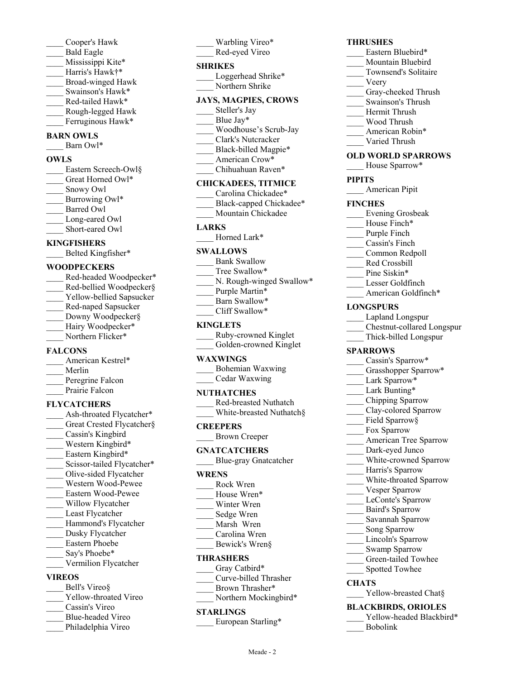- \_\_\_\_ Cooper's Hawk \_\_\_\_ Bald Eagle
- Mississippi Kite\*
- Harris's Hawk†\*
- \_\_\_\_ Broad-winged Hawk
- Swainson's Hawk\*
- Red-tailed Hawk\*
- \_\_\_\_ Rough-legged Hawk
- Ferruginous Hawk\*

# **BARN OWLS**

Barn Owl\*

## **OWLS**

Eastern Screech-Owl§ Great Horned Owl\* \_\_\_\_ Snowy Owl Burrowing Owl\* Barred Owl Long-eared Owl Short-eared Owl

# **KINGFISHERS**

Belted Kingfisher\*

## **WOODPECKERS**

Red-headed Woodpecker\* Red-bellied Woodpecker§ Yellow-bellied Sapsucker \_\_\_\_ Red-naped Sapsucker Downy Woodpecker§ Hairy Woodpecker\* Northern Flicker\*

# **FALCONS**

American Kestrel\* \_\_\_\_ Merlin Peregrine Falcon Prairie Falcon

# **FLYCATCHERS**

- Ash-throated Flycatcher\* Great Crested Flycatcher§ \_\_\_\_ Cassin's Kingbird Western Kingbird\* Eastern Kingbird\* Scissor-tailed Flycatcher\* \_\_\_\_ Olive-sided Flycatcher
- \_\_\_\_ Western Wood-Pewee
- \_\_\_\_ Eastern Wood-Pewee
- Willow Flycatcher
- Least Flycatcher
- Hammond's Flycatcher
- Dusky Flycatcher \_\_\_\_ Eastern Phoebe
- Say's Phoebe\*
- \_\_\_\_ Vermilion Flycatcher

# **VIREOS**

- Bell's Vireo§
- Yellow-throated Vireo
- \_\_\_\_ Cassin's Vireo
- \_\_\_\_ Blue-headed Vireo
- Philadelphia Vireo

# Warbling Vireo\*

\_\_\_\_ Red-eyed Vireo

# **SHRIKES**

Loggerhead Shrike\* \_\_\_\_ Northern Shrike

# **JAYS, MAGPIES, CROWS**

- Steller's Jay Blue Jav\*
- \_\_\_\_ Woodhouse's Scrub-Jay
- \_\_\_\_ Clark's Nutcracker
- Black-billed Magpie\*
- American Crow\*
- Chihuahuan Raven\*

# **CHICKADEES, TITMICE**

- Carolina Chickadee\*
- Black-capped Chickadee\*
	- Mountain Chickadee

#### **LARKS**

Horned Lark\*

## **SWALLOWS**

- Bank Swallow
- Tree Swallow\*
- N. Rough-winged Swallow\*
- Purple Martin\*
- Barn Swallow\*
- \_\_\_\_ Cliff Swallow\*

# **KINGLETS**

\_\_\_\_ Ruby-crowned Kinglet Golden-crowned Kinglet

# **WAXWINGS**

| Bohemian Waxwing |
|------------------|
| Cedar Waxwing    |

# **NUTHATCHES**

\_\_\_\_ Red-breasted Nuthatch White-breasted Nuthatch§

# **CREEPERS**

\_\_\_\_ Brown Creeper

# **GNATCATCHERS**

\_\_\_\_ Blue-gray Gnatcatcher

### **WRENS**

- \_\_\_\_ Rock Wren
- House Wren\*
- Winter Wren Sedge Wren
- Marsh Wren
- Carolina Wren
- Bewick's Wren§

# **THRASHERS**

- Gray Catbird\*
- \_\_\_\_ Curve-billed Thrasher
- Brown Thrasher\*
- Northern Mockingbird\*

### **STARLINGS**

European Starling\*

Meade - 2

# **THRUSHES**

- Eastern Bluebird\*
- Mountain Bluebird
- \_\_\_\_ Townsend's Solitaire
- \_\_\_\_ Veery
- Gray-cheeked Thrush
- \_\_\_\_ Swainson's Thrush
- \_\_\_\_ Hermit Thrush
- \_\_\_\_ Wood Thrush
- American Robin\*
- Varied Thrush

# **OLD WORLD SPARROWS**

House Sparrow\*

### **PIPITS**

American Pipit

### **FINCHES**

\_\_\_\_ Evening Grosbeak

Purple Finch \_\_\_\_ Cassin's Finch \_\_\_\_ Common Redpoll \_\_\_\_ Red Crossbill Pine Siskin\* \_\_\_\_ Lesser Goldfinch American Goldfinch\*

Lapland Longspur

Cassin's Sparrow\* Grasshopper Sparrow\*

\_\_\_\_ American Tree Sparrow Dark-eyed Junco White-crowned Sparrow Harris's Sparrow White-throated Sparrow Vesper Sparrow LeConte's Sparrow \_\_\_\_ Baird's Sparrow \_\_\_\_ Savannah Sparrow Song Sparrow Lincoln's Sparrow Swamp Sparrow \_\_\_\_ Green-tailed Towhee Spotted Towhee

Lark Sparrow\* Lark Bunting\* \_\_\_\_ Chipping Sparrow Clay-colored Sparrow Field Sparrow§ Fox Sparrow

\_\_\_\_ Chestnut-collared Longspur \_\_\_\_ Thick-billed Longspur

House Finch\*

**LONGSPURS**

**SPARROWS**

**CHATS**

\_\_\_\_ Yellow-breasted Chat§ **BLACKBIRDS, ORIOLES**

\_\_\_\_ Bobolink

Yellow-headed Blackbird\*